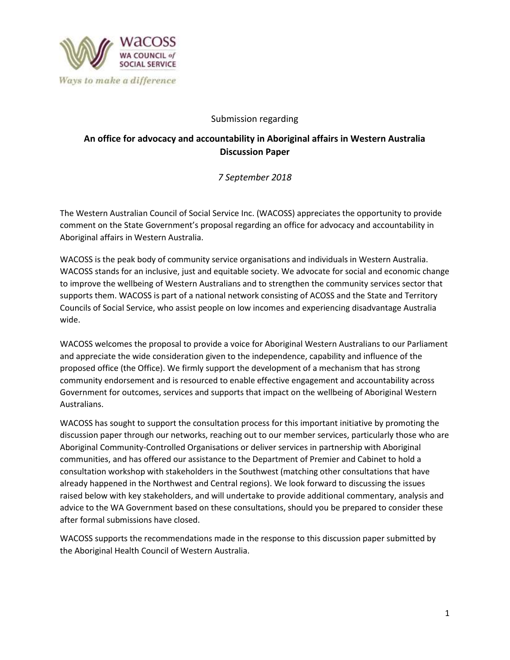

### Submission regarding

# **An office for advocacy and accountability in Aboriginal affairs in Western Australia Discussion Paper**

## *7 September 2018*

The Western Australian Council of Social Service Inc. (WACOSS) appreciates the opportunity to provide comment on the State Government's proposal regarding an office for advocacy and accountability in Aboriginal affairs in Western Australia.

WACOSS is the peak body of community service organisations and individuals in Western Australia. WACOSS stands for an inclusive, just and equitable society. We advocate for social and economic change to improve the wellbeing of Western Australians and to strengthen the community services sector that supports them. WACOSS is part of a national network consisting of ACOSS and the State and Territory Councils of Social Service, who assist people on low incomes and experiencing disadvantage Australia wide.

WACOSS welcomes the proposal to provide a voice for Aboriginal Western Australians to our Parliament and appreciate the wide consideration given to the independence, capability and influence of the proposed office (the Office). We firmly support the development of a mechanism that has strong community endorsement and is resourced to enable effective engagement and accountability across Government for outcomes, services and supports that impact on the wellbeing of Aboriginal Western Australians.

WACOSS has sought to support the consultation process for this important initiative by promoting the discussion paper through our networks, reaching out to our member services, particularly those who are Aboriginal Community-Controlled Organisations or deliver services in partnership with Aboriginal communities, and has offered our assistance to the Department of Premier and Cabinet to hold a consultation workshop with stakeholders in the Southwest (matching other consultations that have already happened in the Northwest and Central regions). We look forward to discussing the issues raised below with key stakeholders, and will undertake to provide additional commentary, analysis and advice to the WA Government based on these consultations, should you be prepared to consider these after formal submissions have closed.

WACOSS supports the recommendations made in the response to this discussion paper submitted by the Aboriginal Health Council of Western Australia.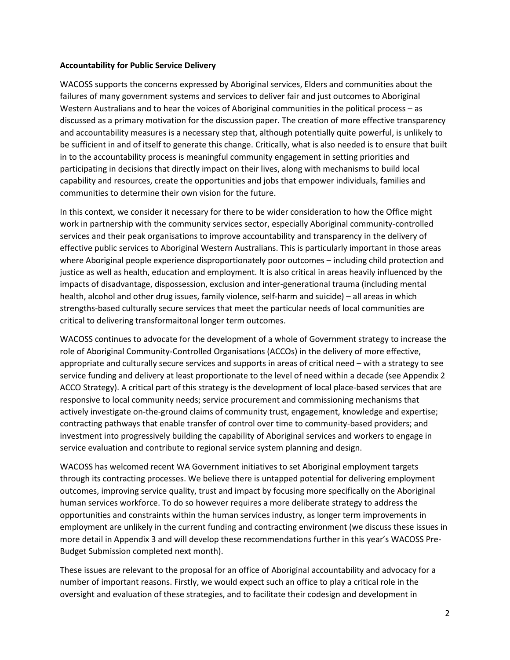#### **Accountability for Public Service Delivery**

WACOSS supports the concerns expressed by Aboriginal services, Elders and communities about the failures of many government systems and services to deliver fair and just outcomes to Aboriginal Western Australians and to hear the voices of Aboriginal communities in the political process – as discussed as a primary motivation for the discussion paper. The creation of more effective transparency and accountability measures is a necessary step that, although potentially quite powerful, is unlikely to be sufficient in and of itself to generate this change. Critically, what is also needed is to ensure that built in to the accountability process is meaningful community engagement in setting priorities and participating in decisions that directly impact on their lives, along with mechanisms to build local capability and resources, create the opportunities and jobs that empower individuals, families and communities to determine their own vision for the future.

In this context, we consider it necessary for there to be wider consideration to how the Office might work in partnership with the community services sector, especially Aboriginal community-controlled services and their peak organisations to improve accountability and transparency in the delivery of effective public services to Aboriginal Western Australians. This is particularly important in those areas where Aboriginal people experience disproportionately poor outcomes – including child protection and justice as well as health, education and employment. It is also critical in areas heavily influenced by the impacts of disadvantage, dispossession, exclusion and inter-generational trauma (including mental health, alcohol and other drug issues, family violence, self-harm and suicide) – all areas in which strengths-based culturally secure services that meet the particular needs of local communities are critical to delivering transformaitonal longer term outcomes.

WACOSS continues to advocate for the development of a whole of Government strategy to increase the role of Aboriginal Community-Controlled Organisations (ACCOs) in the delivery of more effective, appropriate and culturally secure services and supports in areas of critical need – with a strategy to see service funding and delivery at least proportionate to the level of need within a decade (see Appendix 2 ACCO Strategy). A critical part of this strategy is the development of local place-based services that are responsive to local community needs; service procurement and commissioning mechanisms that actively investigate on-the-ground claims of community trust, engagement, knowledge and expertise; contracting pathways that enable transfer of control over time to community-based providers; and investment into progressively building the capability of Aboriginal services and workers to engage in service evaluation and contribute to regional service system planning and design.

WACOSS has welcomed recent WA Government initiatives to set Aboriginal employment targets through its contracting processes. We believe there is untapped potential for delivering employment outcomes, improving service quality, trust and impact by focusing more specifically on the Aboriginal human services workforce. To do so however requires a more deliberate strategy to address the opportunities and constraints within the human services industry, as longer term improvements in employment are unlikely in the current funding and contracting environment (we discuss these issues in more detail in Appendix 3 and will develop these recommendations further in this year's WACOSS Pre-Budget Submission completed next month).

These issues are relevant to the proposal for an office of Aboriginal accountability and advocacy for a number of important reasons. Firstly, we would expect such an office to play a critical role in the oversight and evaluation of these strategies, and to facilitate their codesign and development in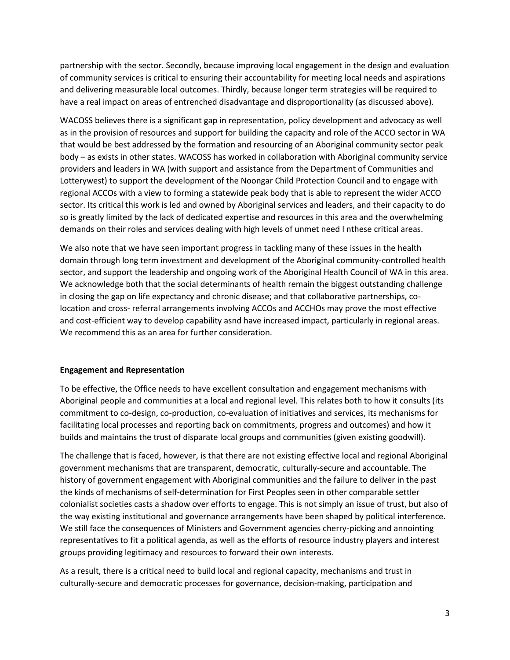partnership with the sector. Secondly, because improving local engagement in the design and evaluation of community services is critical to ensuring their accountability for meeting local needs and aspirations and delivering measurable local outcomes. Thirdly, because longer term strategies will be required to have a real impact on areas of entrenched disadvantage and disproportionality (as discussed above).

WACOSS believes there is a significant gap in representation, policy development and advocacy as well as in the provision of resources and support for building the capacity and role of the ACCO sector in WA that would be best addressed by the formation and resourcing of an Aboriginal community sector peak body – as exists in other states. WACOSS has worked in collaboration with Aboriginal community service providers and leaders in WA (with support and assistance from the Department of Communities and Lotterywest) to support the development of the Noongar Child Protection Council and to engage with regional ACCOs with a view to forming a statewide peak body that is able to represent the wider ACCO sector. Its critical this work is led and owned by Aboriginal services and leaders, and their capacity to do so is greatly limited by the lack of dedicated expertise and resources in this area and the overwhelming demands on their roles and services dealing with high levels of unmet need I nthese critical areas.

We also note that we have seen important progress in tackling many of these issues in the health domain through long term investment and development of the Aboriginal community-controlled health sector, and support the leadership and ongoing work of the Aboriginal Health Council of WA in this area. We acknowledge both that the social determinants of health remain the biggest outstanding challenge in closing the gap on life expectancy and chronic disease; and that collaborative partnerships, colocation and cross- referral arrangements involving ACCOs and ACCHOs may prove the most effective and cost-efficient way to develop capability asnd have increased impact, particularly in regional areas. We recommend this as an area for further consideration.

#### **Engagement and Representation**

To be effective, the Office needs to have excellent consultation and engagement mechanisms with Aboriginal people and communities at a local and regional level. This relates both to how it consults (its commitment to co-design, co-production, co-evaluation of initiatives and services, its mechanisms for facilitating local processes and reporting back on commitments, progress and outcomes) and how it builds and maintains the trust of disparate local groups and communities (given existing goodwill).

The challenge that is faced, however, is that there are not existing effective local and regional Aboriginal government mechanisms that are transparent, democratic, culturally-secure and accountable. The history of government engagement with Aboriginal communities and the failure to deliver in the past the kinds of mechanisms of self-determination for First Peoples seen in other comparable settler colonialist societies casts a shadow over efforts to engage. This is not simply an issue of trust, but also of the way existing institutional and governance arrangements have been shaped by political interference. We still face the consequences of Ministers and Government agencies cherry-picking and annointing representatives to fit a political agenda, as well as the efforts of resource industry players and interest groups providing legitimacy and resources to forward their own interests.

As a result, there is a critical need to build local and regional capacity, mechanisms and trust in culturally-secure and democratic processes for governance, decision-making, participation and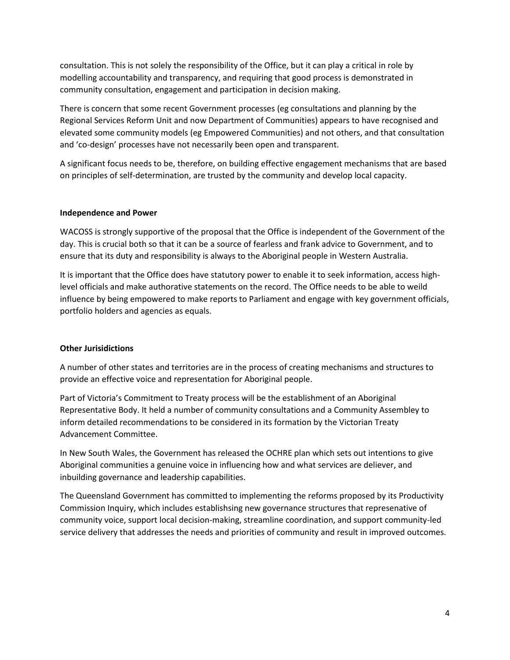consultation. This is not solely the responsibility of the Office, but it can play a critical in role by modelling accountability and transparency, and requiring that good process is demonstrated in community consultation, engagement and participation in decision making.

There is concern that some recent Government processes (eg consultations and planning by the Regional Services Reform Unit and now Department of Communities) appears to have recognised and elevated some community models (eg Empowered Communities) and not others, and that consultation and 'co-design' processes have not necessarily been open and transparent.

A significant focus needs to be, therefore, on building effective engagement mechanisms that are based on principles of self-determination, are trusted by the community and develop local capacity.

#### **Independence and Power**

WACOSS is strongly supportive of the proposal that the Office is independent of the Government of the day. This is crucial both so that it can be a source of fearless and frank advice to Government, and to ensure that its duty and responsibility is always to the Aboriginal people in Western Australia.

It is important that the Office does have statutory power to enable it to seek information, access highlevel officials and make authorative statements on the record. The Office needs to be able to weild influence by being empowered to make reports to Parliament and engage with key government officials, portfolio holders and agencies as equals.

#### **Other Jurisidictions**

A number of other states and territories are in the process of creating mechanisms and structures to provide an effective voice and representation for Aboriginal people.

Part of Victoria's Commitment to Treaty process will be the establishment of an Aboriginal Representative Body. It held a number of community consultations and a Community Assembley to inform detailed recommendations to be considered in its formation by the Victorian Treaty Advancement Committee.

In New South Wales, the Government has released the OCHRE plan which sets out intentions to give Aboriginal communities a genuine voice in influencing how and what services are deliever, and inbuilding governance and leadership capabilities.

The Queensland Government has committed to implementing the reforms proposed by its Productivity Commission Inquiry, which includes establishsing new governance structures that represenative of community voice, support local decision-making, streamline coordination, and support community-led service delivery that addresses the needs and priorities of community and result in improved outcomes.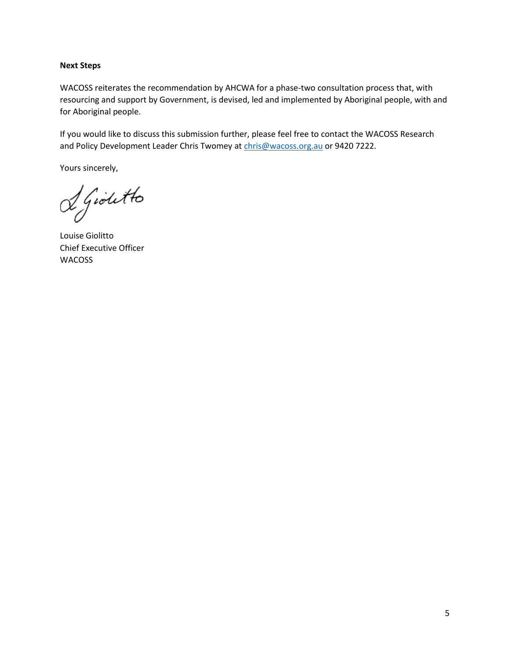#### **Next Steps**

WACOSS reiterates the recommendation by AHCWA for a phase-two consultation process that, with resourcing and support by Government, is devised, led and implemented by Aboriginal people, with and for Aboriginal people.

If you would like to discuss this submission further, please feel free to contact the WACOSS Research and Policy Development Leader Chris Twomey at [chris@wacoss.org.au](mailto:chris@wacoss.org.au) or 9420 7222.

Yours sincerely,

Sgioletto

Louise Giolitto Chief Executive Officer WACOSS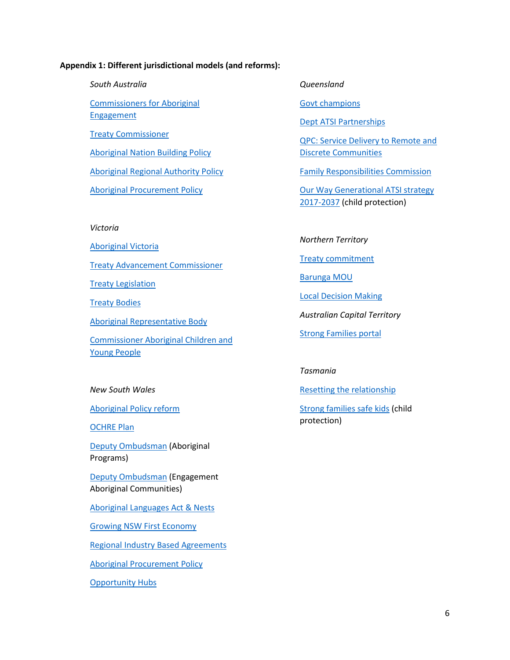#### **Appendix 1: Different jurisdictional models (and reforms):**

*South Australia* [Commissioners for Aboriginal](https://statedevelopment.sa.gov.au/about-us/our-partners/commissioner-for-aboriginal-engagement)  **[Engagement](https://statedevelopment.sa.gov.au/about-us/our-partners/commissioner-for-aboriginal-engagement)** [Treaty Commissioner](https://statedevelopment.sa.gov.au/about-us/our-partners/treaty-commissioner)  [Aboriginal Nation Building Policy](https://industryandskills.sa.gov.au/aboriginal-affairs/aboriginal-affairs-and-reconciliation/initiatives/aboriginal-nation-building) [Aboriginal Regional Authority Policy](https://statedevelopment.sa.gov.au/aboriginal-affairs/aboriginal-affairs-and-reconciliation/initiatives/aboriginal-regional-authority-policy) [Aboriginal Procurement Policy](https://statedevelopment.sa.gov.au/upload/aard/aep-ipp.pdf?t=1530243879900) *Victoria* [Aboriginal Victoria](https://www.vic.gov.au/aboriginalvictoria.html)

[Treaty Advancement Commissioner](https://victreatyadvancement.org.au/) 

**[Treaty Legislation](https://www.vic.gov.au/aboriginalvictoria/treaty/treaty-legislation.html)** 

[Treaty Bodies](https://www.vic.gov.au/aboriginalvictoria/treaty/treaty-bodies.html)

[Aboriginal Representative Body](https://victreatyadvancement.org.au/aboriginal-representative-body)

[Commissioner Aboriginal Children and](https://ccyp.vic.gov.au/about-the-commission/our-commissioners/#TOC-2)  [Young People](https://ccyp.vic.gov.au/about-the-commission/our-commissioners/#TOC-2)

#### *New South Wales*

[Aboriginal Policy reform](https://www.aboriginalaffairs.nsw.gov.au/policy-reform)

[OCHRE Plan](https://www.aboriginalaffairs.nsw.gov.au/our-agency/staying-accountable/ochre)

[Deputy Ombudsman](https://www.ombo.nsw.gov.au/what-we-do/our-office/our-structure/our-executive) (Aboriginal Programs)

[Deputy Ombudsman](https://www.ombo.nsw.gov.au/what-we-do/Information-and-resources-for-Aboriginal-communities/our-work-with-Aboriginal-communities) (Engagement Aboriginal Communities)

[Aboriginal Languages Act](https://www.aboriginalaffairs.nsw.gov.au/policy-reform/language-and-culture) & Nests

[Growing NSW First Economy](https://www.aboriginalaffairs.nsw.gov.au/policy-reform/economic-prosperity/prosperity-framework)

[Regional Industry Based Agreements](https://www.aboriginalaffairs.nsw.gov.au/policy-reform/economic-prosperity/industry-based-agreements)

[Aboriginal Procurement Policy](https://www.procurepoint.nsw.gov.au/policy-and-reform/goods-and-services-procurement-policies/aboriginal-procurement-policy)

[Opportunity Hubs](https://www.aboriginalaffairs.nsw.gov.au/policy-reform/economic-prosperity/opportunity-hubs)

*Queensland*

[Govt champions](https://www.datsip.qld.gov.au/programs-initiatives/government-champions)

[Dept ATSI Partnerships](https://www.datsip.qld.gov.au/department-aboriginal-torres-strait-islander-partnerships)

[QPC: Service Delivery to Remote and](https://www.qpc.qld.gov.au/inquiries/service-delivery-in-queenslands-remote-and-discrete-indigenous-communities/)  [Discrete Communities](https://www.qpc.qld.gov.au/inquiries/service-delivery-in-queenslands-remote-and-discrete-indigenous-communities/)

[Family Responsibilities Commission](https://www.datsip.qld.gov.au/programs-initiatives/family-responsibilities-commission)

[Our Way Generational ATSI strategy](https://www.datsip.qld.gov.au/programs-initiatives/our-way-changing-tracks)  [2017-2037](https://www.datsip.qld.gov.au/programs-initiatives/our-way-changing-tracks) (child protection)

#### *Northern Territory*

[Treaty commitment](https://dcm.nt.gov.au/supporting-government/office-of-aboriginal-affairs/treaty)

[Barunga MOU](https://dcm.nt.gov.au/__data/assets/pdf_file/0003/514272/barunga-muo-treaty.pdf)

[Local Decision Making](https://dcm.nt.gov.au/__data/assets/pdf_file/0011/442289/local_decision_making.pdf)

*Australian Capital Territory*

[Strong Families portal](https://www.strongfamilies.act.gov.au/home)

## *Tasmania*

[Resetting the relationship](http://www.dpac.tas.gov.au/divisions/csr/oaa/resetting_the_relationship)

[Strong families safe kids](http://www.dhhs.tas.gov.au/children/strongfamilies-safekids) (child protection)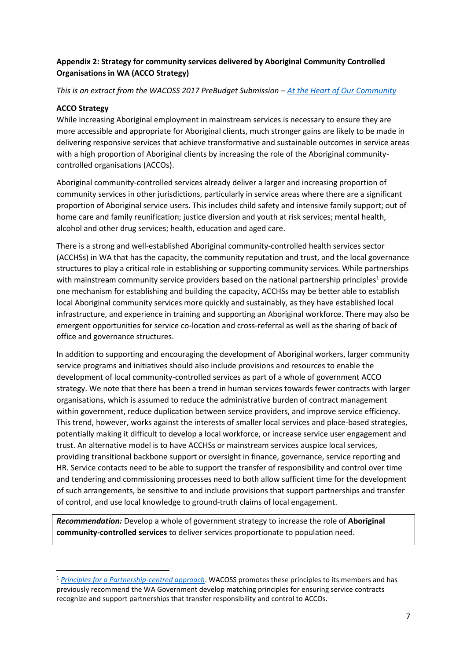## **Appendix 2: Strategy for community services delivered by Aboriginal Community Controlled Organisations in WA (ACCO Strategy)**

### *This is an extract from the WACOSS 2017 PreBudget Submission – [At the Heart of Our Community](https://www.google.com/url?sa=t&rct=j&q=&esrc=s&source=web&cd=4&cad=rja&uact=8&ved=2ahUKEwj2nbux36XdAhWNMd4KHQbtB6YQFjADegQIBxAC&url=http%3A%2F%2Fwacoss.org.au%2Fwp-content%2Fuploads%2F2017%2F11%2FWACOSS-PBS-2018-2019.pdf&usg=AOvVaw2MCEczN7Bu7P09XMigzCn_)*

### **ACCO Strategy**

**.** 

While increasing Aboriginal employment in mainstream services is necessary to ensure they are more accessible and appropriate for Aboriginal clients, much stronger gains are likely to be made in delivering responsive services that achieve transformative and sustainable outcomes in service areas with a high proportion of Aboriginal clients by increasing the role of the Aboriginal communitycontrolled organisations (ACCOs).

Aboriginal community-controlled services already deliver a larger and increasing proportion of community services in other jurisdictions, particularly in service areas where there are a significant proportion of Aboriginal service users. This includes child safety and intensive family support; out of home care and family reunification; justice diversion and youth at risk services; mental health, alcohol and other drug services; health, education and aged care.

There is a strong and well-established Aboriginal community-controlled health services sector (ACCHSs) in WA that has the capacity, the community reputation and trust, and the local governance structures to play a critical role in establishing or supporting community services. While partnerships with mainstream community service providers based on the national partnership principles<sup>1</sup> provide one mechanism for establishing and building the capacity, ACCHSs may be better able to establish local Aboriginal community services more quickly and sustainably, as they have established local infrastructure, and experience in training and supporting an Aboriginal workforce. There may also be emergent opportunities for service co-location and cross-referral as well as the sharing of back of office and governance structures.

In addition to supporting and encouraging the development of Aboriginal workers, larger community service programs and initiatives should also include provisions and resources to enable the development of local community-controlled services as part of a whole of government ACCO strategy. We note that there has been a trend in human services towards fewer contracts with larger organisations, which is assumed to reduce the administrative burden of contract management within government, reduce duplication between service providers, and improve service efficiency. This trend, however, works against the interests of smaller local services and place-based strategies, potentially making it difficult to develop a local workforce, or increase service user engagement and trust. An alternative model is to have ACCHSs or mainstream services auspice local services, providing transitional backbone support or oversight in finance, governance, service reporting and HR. Service contacts need to be able to support the transfer of responsibility and control over time and tendering and commissioning processes need to both allow sufficient time for the development of such arrangements, be sensitive to and include provisions that support partnerships and transfer of control, and use local knowledge to ground-truth claims of local engagement.

*Recommendation:* Develop a whole of government strategy to increase the role of **Aboriginal community-controlled services** to deliver services proportionate to population need.

<sup>1</sup> *[Principles for a Partnership-centred approach](file:///C:/Users/chris/AppData/Local/Microsoft/Windows/INetCache/Content.Outlook/JWVJCFT9/www.acoss.org.au/principles-for-a-partnership-centred-approach)*. WACOSS promotes these principles to its members and has previously recommend the WA Government develop matching principles for ensuring service contracts recognize and support partnerships that transfer responsibility and control to ACCOs.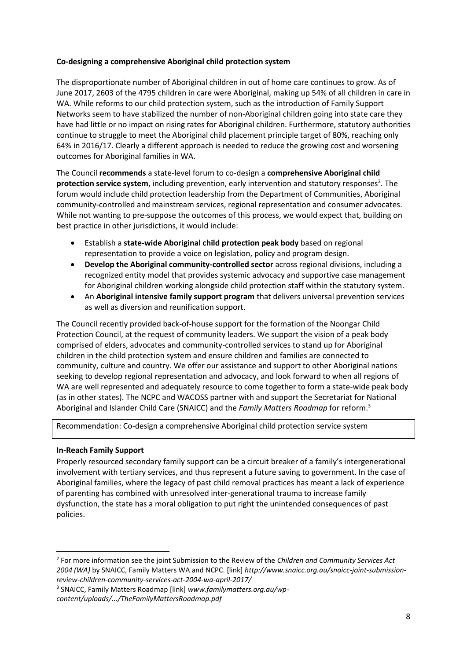### **Co-designing a comprehensive Aboriginal child protection system**

The disproportionate number of Aboriginal children in out of home care continues to grow. As of June 2017, 2603 of the 4795 children in care were Aboriginal, making up 54% of all children in care in WA. While reforms to our child protection system, such as the introduction of Family Support Networks seem to have stabilized the number of non-Aboriginal children going into state care they have had little or no impact on rising rates for Aboriginal children. Furthermore, statutory authorities continue to struggle to meet the Aboriginal child placement principle target of 80%, reaching only 64% in 2016/17. Clearly a different approach is needed to reduce the growing cost and worsening outcomes for Aboriginal families in WA.

The Council **recommends** a state-level forum to co-design a **comprehensive Aboriginal child**  protection service system, including prevention, early intervention and statutory responses<sup>2</sup>. The forum would include child protection leadership from the Department of Communities, Aboriginal community-controlled and mainstream services, regional representation and consumer advocates. While not wanting to pre-suppose the outcomes of this process, we would expect that, building on best practice in other jurisdictions, it would include:

- Establish a **state-wide Aboriginal child protection peak body** based on regional representation to provide a voice on legislation, policy and program design.
- **Develop the Aboriginal community-controlled sector** across regional divisions, including a recognized entity model that provides systemic advocacy and supportive case management for Aboriginal children working alongside child protection staff within the statutory system.
- An **Aboriginal intensive family support program** that delivers universal prevention services as well as diversion and reunification support.

The Council recently provided back-of-house support for the formation of the Noongar Child Protection Council, at the request of community leaders. We support the vision of a peak body comprised of elders, advocates and community-controlled services to stand up for Aboriginal children in the child protection system and ensure children and families are connected to community, culture and country. We offer our assistance and support to other Aboriginal nations seeking to develop regional representation and advocacy, and look forward to when all regions of WA are well represented and adequately resource to come together to form a state-wide peak body (as in other states). The NCPC and WACOSS partner with and support the Secretariat for National Aboriginal and Islander Child Care (SNAICC) and the *Family Matters Roadmap* for reform.<sup>3</sup>

Recommendation: Co-design a comprehensive Aboriginal child protection service system

#### **In-Reach Family Support**

 $\overline{a}$ 

Properly resourced secondary family support can be a circuit breaker of a family's intergenerational involvement with tertiary services, and thus represent a future saving to government. In the case of Aboriginal families, where the legacy of past child removal practices has meant a lack of experience of parenting has combined with unresolved inter-generational trauma to increase family dysfunction, the state has a moral obligation to put right the unintended consequences of past policies.

<sup>2</sup> For more information see the joint Submission to the Review of the *Children and Community Services Act 2004 (WA)* by SNAICC, Family Matters WA and NCPC. [link] *http://www.snaicc.org.au/snaicc-joint-submissionreview-children-community-services-act-2004-wa-april-2017/*

<sup>3</sup> SNAICC, Family Matters Roadmap [link] *www.familymatters.org.au/wpcontent/uploads/.../TheFamilyMattersRoadmap.pdf*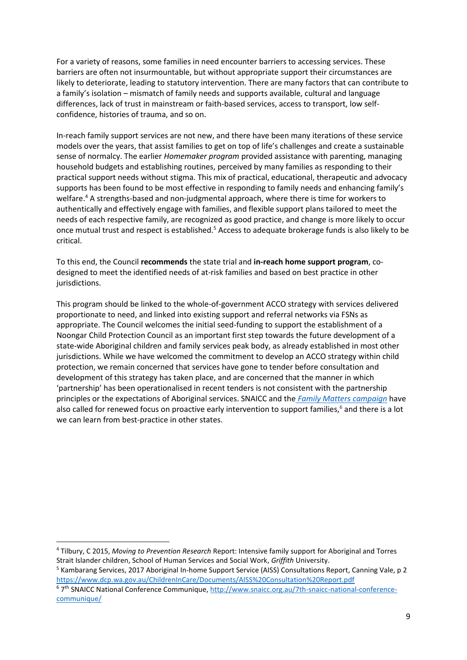For a variety of reasons, some families in need encounter barriers to accessing services. These barriers are often not insurmountable, but without appropriate support their circumstances are likely to deteriorate, leading to statutory intervention. There are many factors that can contribute to a family's isolation – mismatch of family needs and supports available, cultural and language differences, lack of trust in mainstream or faith-based services, access to transport, low selfconfidence, histories of trauma, and so on.

In-reach family support services are not new, and there have been many iterations of these service models over the years, that assist families to get on top of life's challenges and create a sustainable sense of normalcy. The earlier *Homemaker program* provided assistance with parenting, managing household budgets and establishing routines, perceived by many families as responding to their practical support needs without stigma. This mix of practical, educational, therapeutic and advocacy supports has been found to be most effective in responding to family needs and enhancing family's welfare.<sup>4</sup> A strengths-based and non-judgmental approach, where there is time for workers to authentically and effectively engage with families, and flexible support plans tailored to meet the needs of each respective family, are recognized as good practice, and change is more likely to occur once mutual trust and respect is established.<sup>5</sup> Access to adequate brokerage funds is also likely to be critical.

To this end, the Council **recommends** the state trial and **in-reach home support program**, codesigned to meet the identified needs of at-risk families and based on best practice in other jurisdictions.

This program should be linked to the whole-of-government ACCO strategy with services delivered proportionate to need, and linked into existing support and referral networks via FSNs as appropriate. The Council welcomes the initial seed-funding to support the establishment of a Noongar Child Protection Council as an important first step towards the future development of a state-wide Aboriginal children and family services peak body, as already established in most other jurisdictions. While we have welcomed the commitment to develop an ACCO strategy within child protection, we remain concerned that services have gone to tender before consultation and development of this strategy has taken place, and are concerned that the manner in which 'partnership' has been operationalised in recent tenders is not consistent with the partnership principles or the expectations of Aboriginal services. SNAICC and the *[Family Matters campaign](https://www.google.com.au/url?sa=t&rct=j&q=&esrc=s&source=web&cd=12&cad=rja&uact=8&ved=0ahUKEwih8NCpiurWAhVHv7wKHesFAnMQFghVMAs&url=http%3A%2F%2Fwww.familymatters.org.au%2Fwp-content%2Fuploads%2F2016%2F12%2FFamily_Matters_Report_2016.pdf&usg=AOvVaw2_Iten5W3I7b-5Fwx6eSaD)* have also called for renewed focus on proactive early intervention to support families,<sup>6</sup> and there is a lot we can learn from best-practice in other states.

**.** 

<sup>4</sup> Tilbury, C 2015, *Moving to Prevention Research* Report: Intensive family support for Aboriginal and Torres Strait Islander children, School of Human Services and Social Work, *Griffith* University.

<sup>5</sup> Kambarang Services, 2017 Aboriginal In-home Support Service (AISS) Consultations Report, Canning Vale, p 2 <https://www.dcp.wa.gov.au/ChildrenInCare/Documents/AISS%20Consultation%20Report.pdf>

<sup>&</sup>lt;sup>6</sup> 7<sup>th</sup> SNAICC National Conference Communique, [http://www.snaicc.org.au/7th-snaicc-national-conference](http://www.snaicc.org.au/7th-snaicc-national-conference-communique/)[communique/](http://www.snaicc.org.au/7th-snaicc-national-conference-communique/)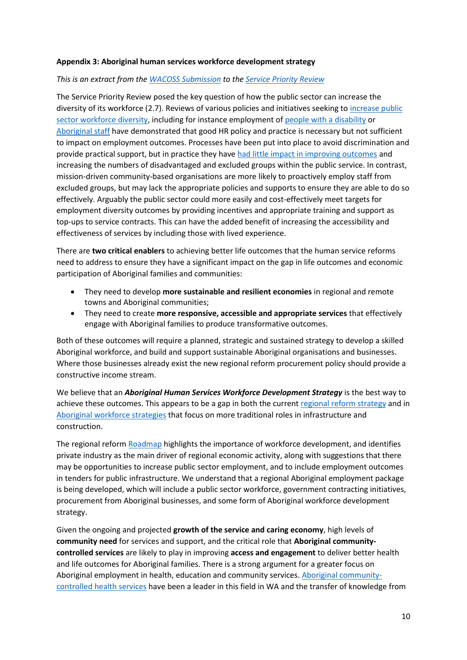### **Appendix 3: Aboriginal human services workforce development strategy**

#### *This is an extract from the [WACOSS Submission](https://www.google.com/url?sa=t&rct=j&q=&esrc=s&source=web&cd=2&cad=rja&uact=8&ved=2ahUKEwj2nbux36XdAhWNMd4KHQbtB6YQFjABegQICRAC&url=http%3A%2F%2Fwww.wacoss.org.au%2Fwp-content%2Fuploads%2F2017%2F07%2FWACOSS-Response-to-the-Service-Priority-Review-Major-Themes.pdf&usg=AOvVaw20_Y22P6imWT6ciMaaNQYs) to the [Service Priority Review](https://www.dpc.wa.gov.au/ProjectsandSpecialEvents/ServicePriorityReview/Pages/default.aspx)*

The Service Priority Review posed the key question of how the public sector can increase the diversity of its workforce (2.7). Reviews of various policies and initiatives seeking to [increase public](https://publicsector.wa.gov.au/workforce-and-diversity/workforce-and-diversity-planning)  [sector workforce diversity,](https://publicsector.wa.gov.au/workforce-and-diversity/workforce-and-diversity-planning) including for instance employment of [people with a disability](https://publicsector.wa.gov.au/workforce-and-diversity/diversity-and-inclusion/disability-employment) or [Aboriginal staff](https://publicsector.wa.gov.au/workforce-and-diversity/diversity-and-inclusion/aboriginal-employment) have demonstrated that good HR policy and practice is necessary but not sufficient to impact on employment outcomes. Processes have been put into place to avoid discrimination and provide practical support, but in practice they have [had little impact in improving outcomes](https://publicsector.wa.gov.au/workforce-and-diversity/director-equal-opportunity-public-employment-deope/deope-annual-report) and increasing the numbers of disadvantaged and excluded groups within the public service. In contrast, mission-driven community-based organisations are more likely to proactively employ staff from excluded groups, but may lack the appropriate policies and supports to ensure they are able to do so effectively. Arguably the public sector could more easily and cost-effectively meet targets for employment diversity outcomes by providing incentives and appropriate training and support as top-ups to service contracts. This can have the added benefit of increasing the accessibility and effectiveness of services by including those with lived experience.

There are **two critical enablers** to achieving better life outcomes that the human service reforms need to address to ensure they have a significant impact on the gap in life outcomes and economic participation of Aboriginal families and communities:

- They need to develop **more sustainable and resilient economies** in regional and remote towns and Aboriginal communities;
- They need to create **more responsive, accessible and appropriate services** that effectively engage with Aboriginal families to produce transformative outcomes.

Both of these outcomes will require a planned, strategic and sustained strategy to develop a skilled Aboriginal workforce, and build and support sustainable Aboriginal organisations and businesses. Where those businesses already exist the new regional reform procurement policy should provide a constructive income stream.

We believe that an *Aboriginal Human Services Workforce Development Strategy* is the best way to achieve these outcomes. This appears to be a gap in both the curren[t regional reform strategy](http://regionalservicesreform.wa.gov.au/) and in [Aboriginal workforce strategies](http://www2.dtwd.wa.gov.au/AWDC) that focus on more traditional roles in infrastructure and construction.

The regional refor[m Roadmap](http://regionalservicesreform.wa.gov.au/p/roadmap) highlights the importance of workforce development, and identifies private industry as the main driver of regional economic activity, along with suggestions that there may be opportunities to increase public sector employment, and to include employment outcomes in tenders for public infrastructure. We understand that a regional Aboriginal employment package is being developed, which will include a public sector workforce, government contracting initiatives, procurement from Aboriginal businesses, and some form of Aboriginal workforce development strategy.

Given the ongoing and projected **growth of the service and caring economy**, high levels of **community need** for services and support, and the critical role that **Aboriginal communitycontrolled services** are likely to play in improving **access and engagement** to deliver better health and life outcomes for Aboriginal families. There is a strong argument for a greater focus on Aboriginal employment in health, education and community services. [Aboriginal community](http://www.ahcwa.org.au/)[controlled health services](http://www.ahcwa.org.au/) have been a leader in this field in WA and the transfer of knowledge from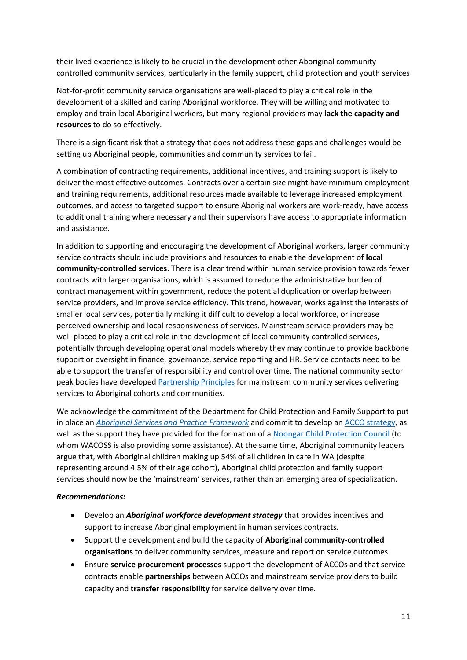their lived experience is likely to be crucial in the development other Aboriginal community controlled community services, particularly in the family support, child protection and youth services

Not-for-profit community service organisations are well-placed to play a critical role in the development of a skilled and caring Aboriginal workforce. They will be willing and motivated to employ and train local Aboriginal workers, but many regional providers may **lack the capacity and resources** to do so effectively.

There is a significant risk that a strategy that does not address these gaps and challenges would be setting up Aboriginal people, communities and community services to fail.

A combination of contracting requirements, additional incentives, and training support is likely to deliver the most effective outcomes. Contracts over a certain size might have minimum employment and training requirements, additional resources made available to leverage increased employment outcomes, and access to targeted support to ensure Aboriginal workers are work-ready, have access to additional training where necessary and their supervisors have access to appropriate information and assistance.

In addition to supporting and encouraging the development of Aboriginal workers, larger community service contracts should include provisions and resources to enable the development of **local community-controlled services**. There is a clear trend within human service provision towards fewer contracts with larger organisations, which is assumed to reduce the administrative burden of contract management within government, reduce the potential duplication or overlap between service providers, and improve service efficiency. This trend, however, works against the interests of smaller local services, potentially making it difficult to develop a local workforce, or increase perceived ownership and local responsiveness of services. Mainstream service providers may be well-placed to play a critical role in the development of local community controlled services, potentially through developing operational models whereby they may continue to provide backbone support or oversight in finance, governance, service reporting and HR. Service contacts need to be able to support the transfer of responsibility and control over time. The national community sector peak bodies have develope[d Partnership Principles](http://www.acoss.org.au/principles-for-a-partnership-centred-approach/) for mainstream community services delivering services to Aboriginal cohorts and communities.

We acknowledge the commitment of the Department for Child Protection and Family Support to put in place an *[Aboriginal Services and Practice Framework](https://www.dcp.wa.gov.au/Resources/Documents/ABORIGINAL%20SERVICES%20AND%20PRACTICE%20FRAMEWORK.pdf)* and commit to develop a[n ACCO strategy,](http://www.dcp.wa.gov.au/ChildrenInCare/Pages/CPFSReformProjects.aspx) as well as the support they have provided for the formation of a [Noongar Child Protection](http://www.wacoss.org.au/news/noongar-child-protection-council-formed-to-stand-up-for-our-kids/) Council (to whom WACOSS is also providing some assistance). At the same time, Aboriginal community leaders argue that, with Aboriginal children making up 54% of all children in care in WA (despite representing around 4.5% of their age cohort), Aboriginal child protection and family support services should now be the 'mainstream' services, rather than an emerging area of specialization.

#### *Recommendations:*

- Develop an *Aboriginal workforce development strategy* that provides incentives and support to increase Aboriginal employment in human services contracts.
- Support the development and build the capacity of **Aboriginal community-controlled organisations** to deliver community services, measure and report on service outcomes.
- Ensure **service procurement processes** support the development of ACCOs and that service contracts enable **partnerships** between ACCOs and mainstream service providers to build capacity and **transfer responsibility** for service delivery over time.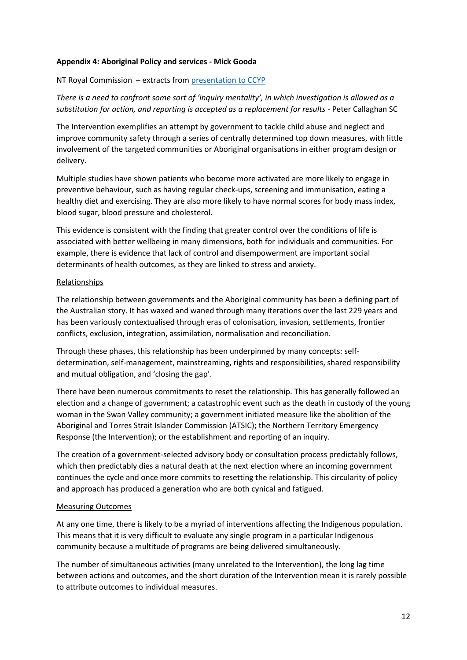#### **Appendix 4: Aboriginal Policy and services - Mick Gooda**

### NT Royal Commission – extracts from [presentation to CCYP](https://www.ccyp.wa.gov.au/our-work/vulnerability-speaker-series/)

*There is a need to confront some sort of 'inquiry mentality', in which investigation is allowed as a substitution for action, and reporting is accepted as a replacement for results* - Peter Callaghan SC

The Intervention exemplifies an attempt by government to tackle child abuse and neglect and improve community safety through a series of centrally determined top down measures, with little involvement of the targeted communities or Aboriginal organisations in either program design or delivery.

Multiple studies have shown patients who become more activated are more likely to engage in preventive behaviour, such as having regular check-ups, screening and immunisation, eating a healthy diet and exercising. They are also more likely to have normal scores for body mass index, blood sugar, blood pressure and cholesterol.

This evidence is consistent with the finding that greater control over the conditions of life is associated with better wellbeing in many dimensions, both for individuals and communities. For example, there is evidence that lack of control and disempowerment are important social determinants of health outcomes, as they are linked to stress and anxiety.

### Relationships

The relationship between governments and the Aboriginal community has been a defining part of the Australian story. It has waxed and waned through many iterations over the last 229 years and has been variously contextualised through eras of colonisation, invasion, settlements, frontier conflicts, exclusion, integration, assimilation, normalisation and reconciliation.

Through these phases, this relationship has been underpinned by many concepts: selfdetermination, self-management, mainstreaming, rights and responsibilities, shared responsibility and mutual obligation, and 'closing the gap'.

There have been numerous commitments to reset the relationship. This has generally followed an election and a change of government; a catastrophic event such as the death in custody of the young woman in the Swan Valley community; a government initiated measure like the abolition of the Aboriginal and Torres Strait Islander Commission (ATSIC); the Northern Territory Emergency Response (the Intervention); or the establishment and reporting of an inquiry.

The creation of a government-selected advisory body or consultation process predictably follows, which then predictably dies a natural death at the next election where an incoming government continues the cycle and once more commits to resetting the relationship. This circularity of policy and approach has produced a generation who are both cynical and fatigued.

### Measuring Outcomes

At any one time, there is likely to be a myriad of interventions affecting the Indigenous population. This means that it is very difficult to evaluate any single program in a particular Indigenous community because a multitude of programs are being delivered simultaneously.

The number of simultaneous activities (many unrelated to the Intervention), the long lag time between actions and outcomes, and the short duration of the Intervention mean it is rarely possible to attribute outcomes to individual measures.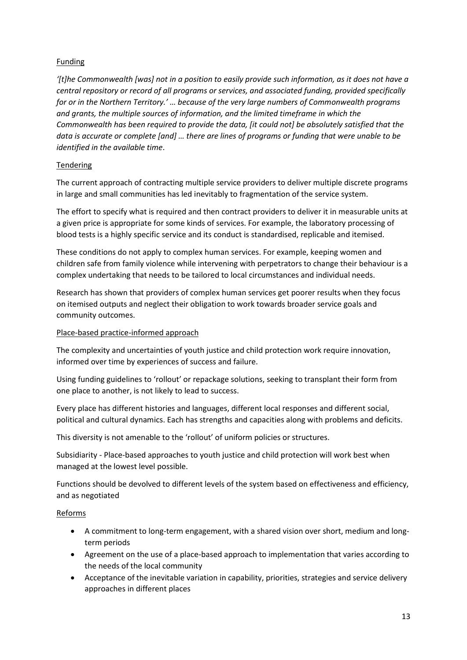## Funding

*'[t]he Commonwealth [was] not in a position to easily provide such information, as it does not have a central repository or record of all programs or services, and associated funding, provided specifically for or in the Northern Territory.' … because of the very large numbers of Commonwealth programs and grants, the multiple sources of information, and the limited timeframe in which the Commonwealth has been required to provide the data, [it could not] be absolutely satisfied that the data is accurate or complete [and] … there are lines of programs or funding that were unable to be identified in the available time*.

## **Tendering**

The current approach of contracting multiple service providers to deliver multiple discrete programs in large and small communities has led inevitably to fragmentation of the service system.

The effort to specify what is required and then contract providers to deliver it in measurable units at a given price is appropriate for some kinds of services. For example, the laboratory processing of blood tests is a highly specific service and its conduct is standardised, replicable and itemised.

These conditions do not apply to complex human services. For example, keeping women and children safe from family violence while intervening with perpetrators to change their behaviour is a complex undertaking that needs to be tailored to local circumstances and individual needs.

Research has shown that providers of complex human services get poorer results when they focus on itemised outputs and neglect their obligation to work towards broader service goals and community outcomes.

### Place-based practice-informed approach

The complexity and uncertainties of youth justice and child protection work require innovation, informed over time by experiences of success and failure.

Using funding guidelines to 'rollout' or repackage solutions, seeking to transplant their form from one place to another, is not likely to lead to success.

Every place has different histories and languages, different local responses and different social, political and cultural dynamics. Each has strengths and capacities along with problems and deficits.

This diversity is not amenable to the 'rollout' of uniform policies or structures.

Subsidiarity - Place-based approaches to youth justice and child protection will work best when managed at the lowest level possible.

Functions should be devolved to different levels of the system based on effectiveness and efficiency, and as negotiated

# Reforms

- A commitment to long-term engagement, with a shared vision over short, medium and longterm periods
- Agreement on the use of a place-based approach to implementation that varies according to the needs of the local community
- Acceptance of the inevitable variation in capability, priorities, strategies and service delivery approaches in different places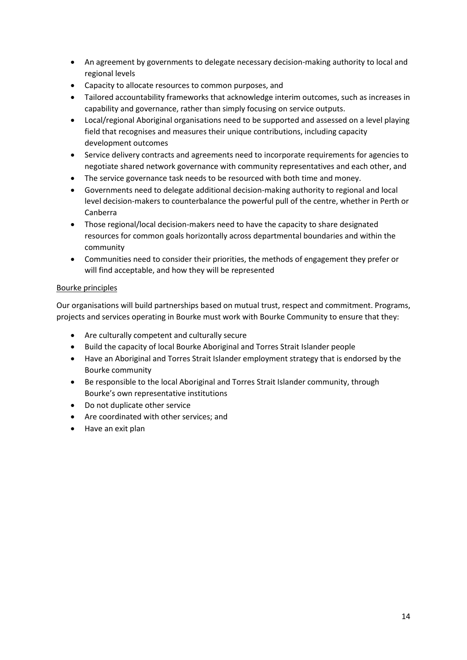- An agreement by governments to delegate necessary decision-making authority to local and regional levels
- Capacity to allocate resources to common purposes, and
- Tailored accountability frameworks that acknowledge interim outcomes, such as increases in capability and governance, rather than simply focusing on service outputs.
- Local/regional Aboriginal organisations need to be supported and assessed on a level playing field that recognises and measures their unique contributions, including capacity development outcomes
- Service delivery contracts and agreements need to incorporate requirements for agencies to negotiate shared network governance with community representatives and each other, and
- The service governance task needs to be resourced with both time and money.
- Governments need to delegate additional decision-making authority to regional and local level decision-makers to counterbalance the powerful pull of the centre, whether in Perth or Canberra
- Those regional/local decision-makers need to have the capacity to share designated resources for common goals horizontally across departmental boundaries and within the community
- Communities need to consider their priorities, the methods of engagement they prefer or will find acceptable, and how they will be represented

### Bourke principles

Our organisations will build partnerships based on mutual trust, respect and commitment. Programs, projects and services operating in Bourke must work with Bourke Community to ensure that they:

- Are culturally competent and culturally secure
- Build the capacity of local Bourke Aboriginal and Torres Strait Islander people
- Have an Aboriginal and Torres Strait Islander employment strategy that is endorsed by the Bourke community
- Be responsible to the local Aboriginal and Torres Strait Islander community, through Bourke's own representative institutions
- Do not duplicate other service
- Are coordinated with other services; and
- Have an exit plan